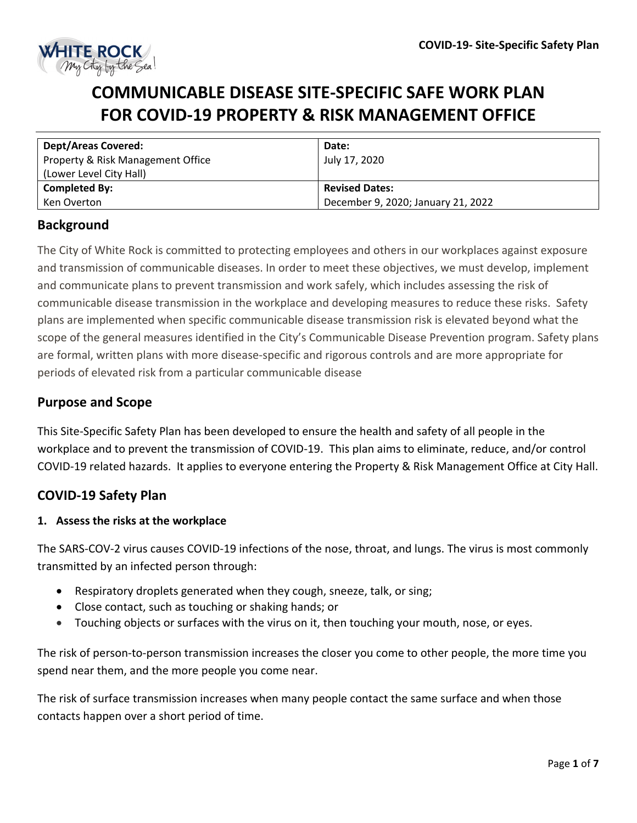

# **COMMUNICABLE DISEASE SITE-SPECIFIC SAFE WORK PLAN FOR COVID-19 PROPERTY & RISK MANAGEMENT OFFICE**

| <b>Dept/Areas Covered:</b>        | Date:                              |
|-----------------------------------|------------------------------------|
| Property & Risk Management Office | July 17, 2020                      |
| (Lower Level City Hall)           |                                    |
| <b>Completed By:</b>              | <b>Revised Dates:</b>              |
| Ken Overton                       | December 9, 2020; January 21, 2022 |

# **Background**

The City of White Rock is committed to protecting employees and others in our workplaces against exposure and transmission of communicable diseases. In order to meet these objectives, we must develop, implement and communicate plans to prevent transmission and work safely, which includes assessing the risk of communicable disease transmission in the workplace and developing measures to reduce these risks. Safety plans are implemented when specific communicable disease transmission risk is elevated beyond what the scope of the general measures identified in the City's Communicable Disease Prevention program. Safety plans are formal, written plans with more disease-specific and rigorous controls and are more appropriate for periods of elevated risk from a particular communicable disease

# **Purpose and Scope**

This Site-Specific Safety Plan has been developed to ensure the health and safety of all people in the workplace and to prevent the transmission of COVID-19. This plan aims to eliminate, reduce, and/or control COVID-19 related hazards. It applies to everyone entering the Property & Risk Management Office at City Hall.

# **COVID-19 Safety Plan**

#### **1. Assess the risks at the workplace**

The SARS-COV-2 virus causes COVID-19 infections of the nose, throat, and lungs. The virus is most commonly transmitted by an infected person through:

- Respiratory droplets generated when they cough, sneeze, talk, or sing;
- Close contact, such as touching or shaking hands; or
- Touching objects or surfaces with the virus on it, then touching your mouth, nose, or eyes.

The risk of person-to-person transmission increases the closer you come to other people, the more time you spend near them, and the more people you come near.

The risk of surface transmission increases when many people contact the same surface and when those contacts happen over a short period of time.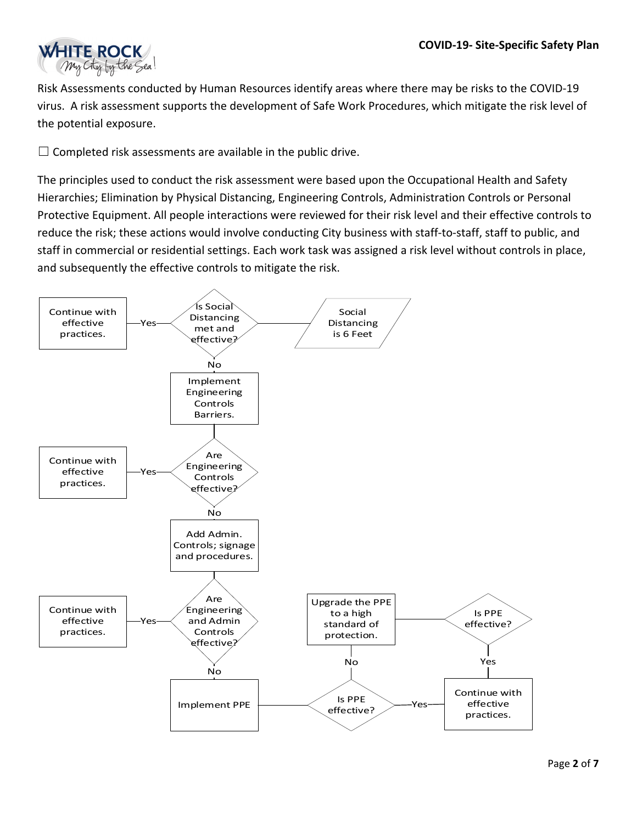

Risk Assessments conducted by Human Resources identify areas where there may be risks to the COVID-19 virus. A risk assessment supports the development of Safe Work Procedures, which mitigate the risk level of the potential exposure.

 $\Box$  Completed risk assessments are available in the public drive.

The principles used to conduct the risk assessment were based upon the Occupational Health and Safety Hierarchies; Elimination by Physical Distancing, Engineering Controls, Administration Controls or Personal Protective Equipment. All people interactions were reviewed for their risk level and their effective controls to reduce the risk; these actions would involve conducting City business with staff-to-staff, staff to public, and staff in commercial or residential settings. Each work task was assigned a risk level without controls in place, and subsequently the effective controls to mitigate the risk.

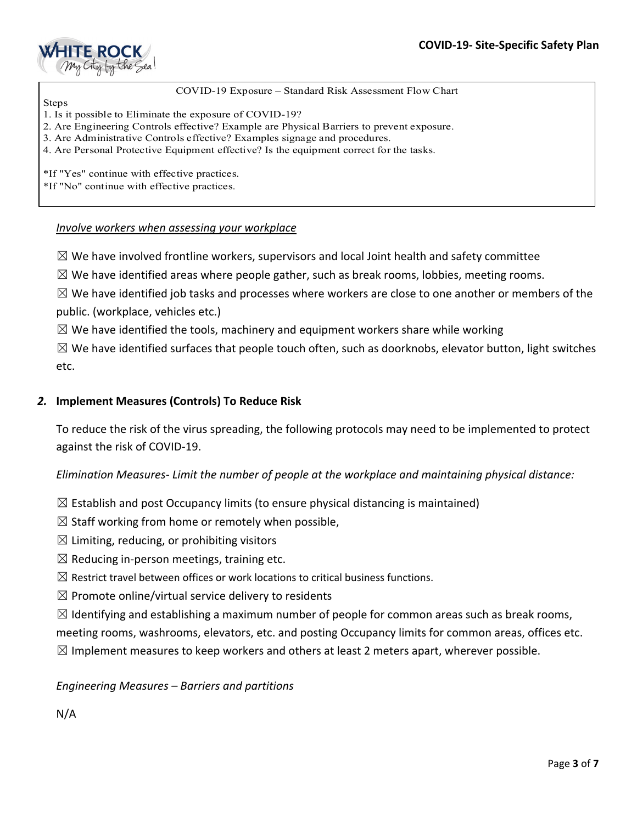

#### COVID-19 Exposure – Standard Risk Assessment Flow Chart

- Steps 1. Is it possible to Eliminate the exposure of COVID-19?
- 2. Are Engineering Controls effective? Example are Physical Barriers to prevent exposure.
- 3. Are Administrative Controls effective? Examples signage and procedures.
- 4. Are Personal Protective Equipment effective? Is the equipment correct for the tasks.

\*If "Yes" continue with effective practices.

\*If "No" continue with effective practices.

#### *Involve workers when assessing your workplace*

 $\boxtimes$  We have involved frontline workers, supervisors and local Joint health and safety committee

 $\boxtimes$  We have identified areas where people gather, such as break rooms, lobbies, meeting rooms.

 $\boxtimes$  We have identified job tasks and processes where workers are close to one another or members of the public. (workplace, vehicles etc.)

 $\boxtimes$  We have identified the tools, machinery and equipment workers share while working

 $\boxtimes$  We have identified surfaces that people touch often, such as doorknobs, elevator button, light switches etc.

#### *2.* **Implement Measures (Controls) To Reduce Risk**

To reduce the risk of the virus spreading, the following protocols may need to be implemented to protect against the risk of COVID-19.

*Elimination Measures- Limit the number of people at the workplace and maintaining physical distance:* 

- $\boxtimes$  Establish and post Occupancy limits (to ensure physical distancing is maintained)
- $\boxtimes$  Staff working from home or remotely when possible,
- $\boxtimes$  Limiting, reducing, or prohibiting visitors
- $\boxtimes$  Reducing in-person meetings, training etc.
- $\boxtimes$  Restrict travel between offices or work locations to critical business functions.
- $\boxtimes$  Promote online/virtual service delivery to residents
- $\boxtimes$  Identifying and establishing a maximum number of people for common areas such as break rooms,

meeting rooms, washrooms, elevators, etc. and posting Occupancy limits for common areas, offices etc.  $\boxtimes$  Implement measures to keep workers and others at least 2 meters apart, wherever possible.

#### *Engineering Measures – Barriers and partitions*

# N/A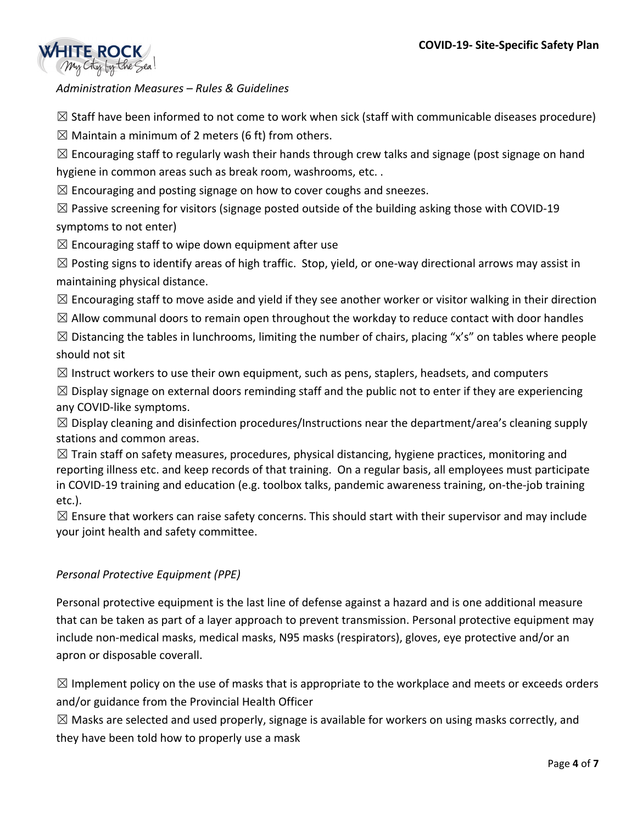

*Administration Measures – Rules & Guidelines*

 $\boxtimes$  Staff have been informed to not come to work when sick (staff with communicable diseases procedure)

 $\boxtimes$  Maintain a minimum of 2 meters (6 ft) from others.

 $\boxtimes$  Encouraging staff to regularly wash their hands through crew talks and signage (post signage on hand hygiene in common areas such as break room, washrooms, etc. .

 $\boxtimes$  Encouraging and posting signage on how to cover coughs and sneezes.

 $\boxtimes$  Passive screening for visitors (signage posted outside of the building asking those with COVID-19 symptoms to not enter)

 $\boxtimes$  Encouraging staff to wipe down equipment after use

 $\boxtimes$  Posting signs to identify areas of high traffic. Stop, yield, or one-way directional arrows may assist in maintaining physical distance.

 $\boxtimes$  Encouraging staff to move aside and yield if they see another worker or visitor walking in their direction

 $\boxtimes$  Allow communal doors to remain open throughout the workday to reduce contact with door handles

 $\boxtimes$  Distancing the tables in lunchrooms, limiting the number of chairs, placing "x's" on tables where people should not sit

 $\boxtimes$  Instruct workers to use their own equipment, such as pens, staplers, headsets, and computers

 $\boxtimes$  Display signage on external doors reminding staff and the public not to enter if they are experiencing any COVID-like symptoms.

 $\boxtimes$  Display cleaning and disinfection procedures/Instructions near the department/area's cleaning supply stations and common areas.

 $\boxtimes$  Train staff on safety measures, procedures, physical distancing, hygiene practices, monitoring and reporting illness etc. and keep records of that training. On a regular basis, all employees must participate in COVID-19 training and education (e.g. toolbox talks, pandemic awareness training, on-the-job training etc.).

 $\boxtimes$  Ensure that workers can raise safety concerns. This should start with their supervisor and may include your joint health and safety committee.

## *Personal Protective Equipment (PPE)*

Personal protective equipment is the last line of defense against a hazard and is one additional measure that can be taken as part of a layer approach to prevent transmission. Personal protective equipment may include non-medical masks, medical masks, N95 masks (respirators), gloves, eye protective and/or an apron or disposable coverall.

 $\boxtimes$  Implement policy on the use of masks that is appropriate to the workplace and meets or exceeds orders and/or guidance from the Provincial Health Officer

 $\boxtimes$  Masks are selected and used properly, signage is available for workers on using masks correctly, and they have been told how to properly use a mask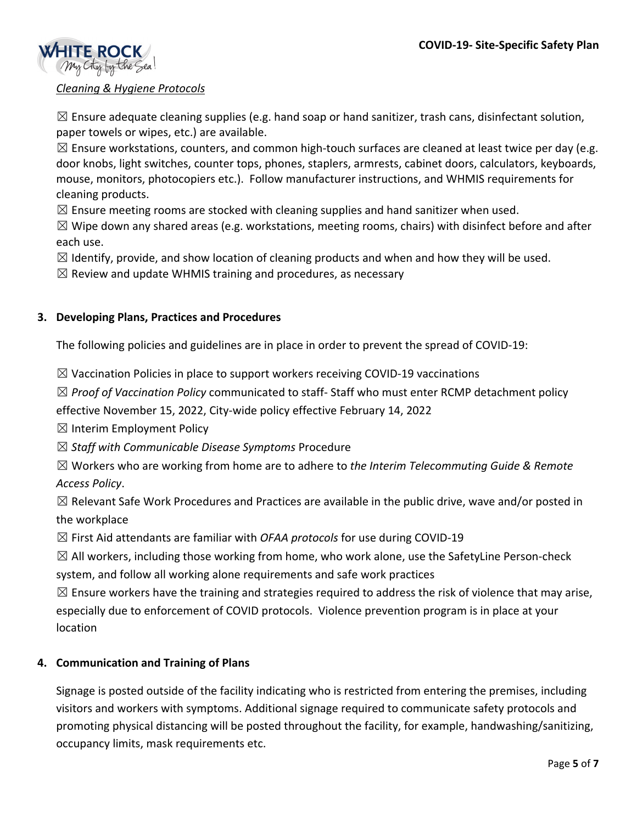

## *Cleaning & Hygiene Protocols*

 $\boxtimes$  Ensure adequate cleaning supplies (e.g. hand soap or hand sanitizer, trash cans, disinfectant solution, paper towels or wipes, etc.) are available.

 $\boxtimes$  Ensure workstations, counters, and common high-touch surfaces are cleaned at least twice per day (e.g. door knobs, light switches, counter tops, phones, staplers, armrests, cabinet doors, calculators, keyboards, mouse, monitors, photocopiers etc.). Follow manufacturer instructions, and WHMIS requirements for cleaning products.

 $\boxtimes$  Ensure meeting rooms are stocked with cleaning supplies and hand sanitizer when used.

 $\boxtimes$  Wipe down any shared areas (e.g. workstations, meeting rooms, chairs) with disinfect before and after each use.

 $\boxtimes$  Identify, provide, and show location of cleaning products and when and how they will be used.

 $\boxtimes$  Review and update WHMIS training and procedures, as necessary

### **3. Developing Plans, Practices and Procedures**

The following policies and guidelines are in place in order to prevent the spread of COVID-19:

 $\boxtimes$  Vaccination Policies in place to support workers receiving COVID-19 vaccinations

☒ *Proof of Vaccination Policy* communicated to staff- Staff who must enter RCMP detachment policy

effective November 15, 2022, City-wide policy effective February 14, 2022

 $\boxtimes$  Interim Employment Policy

☒ *Staff with Communicable Disease Symptoms* Procedure

☒ Workers who are working from home are to adhere to *the Interim Telecommuting Guide & Remote Access Policy*.

 $\boxtimes$  Relevant Safe Work Procedures and Practices are available in the public drive, wave and/or posted in the workplace

☒ First Aid attendants are familiar with *OFAA protocols* for use during COVID-19

 $\boxtimes$  All workers, including those working from home, who work alone, use the SafetyLine Person-check system, and follow all working alone requirements and safe work practices

 $\boxtimes$  Ensure workers have the training and strategies required to address the risk of violence that may arise, especially due to enforcement of COVID protocols. Violence prevention program is in place at your location

## **4. Communication and Training of Plans**

Signage is posted outside of the facility indicating who is restricted from entering the premises, including visitors and workers with symptoms. Additional signage required to communicate safety protocols and promoting physical distancing will be posted throughout the facility, for example, handwashing/sanitizing, occupancy limits, mask requirements etc.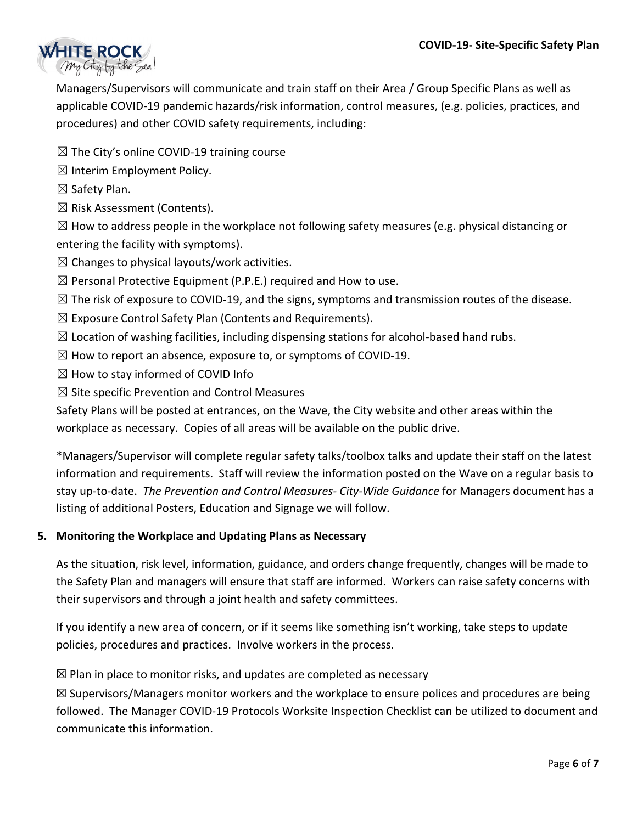

Managers/Supervisors will communicate and train staff on their Area / Group Specific Plans as well as applicable COVID-19 pandemic hazards/risk information, control measures, (e.g. policies, practices, and procedures) and other COVID safety requirements, including:

- $\boxtimes$  The City's online COVID-19 training course
- $\boxtimes$  Interim Employment Policy.
- $\boxtimes$  Safety Plan.
- $\boxtimes$  Risk Assessment (Contents).

 $\boxtimes$  How to address people in the workplace not following safety measures (e.g. physical distancing or entering the facility with symptoms).

- $\boxtimes$  Changes to physical layouts/work activities.
- $\boxtimes$  Personal Protective Equipment (P.P.E.) required and How to use.
- $\boxtimes$  The risk of exposure to COVID-19, and the signs, symptoms and transmission routes of the disease.
- $\boxtimes$  Exposure Control Safety Plan (Contents and Requirements).
- $\boxtimes$  Location of washing facilities, including dispensing stations for alcohol-based hand rubs.
- $\boxtimes$  How to report an absence, exposure to, or symptoms of COVID-19.
- $\boxtimes$  How to stay informed of COVID Info
- $\boxtimes$  Site specific Prevention and Control Measures

Safety Plans will be posted at entrances, on the Wave, the City website and other areas within the workplace as necessary. Copies of all areas will be available on the public drive.

\*Managers/Supervisor will complete regular safety talks/toolbox talks and update their staff on the latest information and requirements. Staff will review the information posted on the Wave on a regular basis to stay up-to-date. *The Prevention and Control Measures- City-Wide Guidance* for Managers document has a listing of additional Posters, Education and Signage we will follow.

## **5. Monitoring the Workplace and Updating Plans as Necessary**

As the situation, risk level, information, guidance, and orders change frequently, changes will be made to the Safety Plan and managers will ensure that staff are informed. Workers can raise safety concerns with their supervisors and through a joint health and safety committees.

If you identify a new area of concern, or if it seems like something isn't working, take steps to update policies, procedures and practices. Involve workers in the process.

 $\boxtimes$  Plan in place to monitor risks, and updates are completed as necessary

 $\boxtimes$  Supervisors/Managers monitor workers and the workplace to ensure polices and procedures are being followed. The Manager COVID-19 Protocols Worksite Inspection Checklist can be utilized to document and communicate this information.